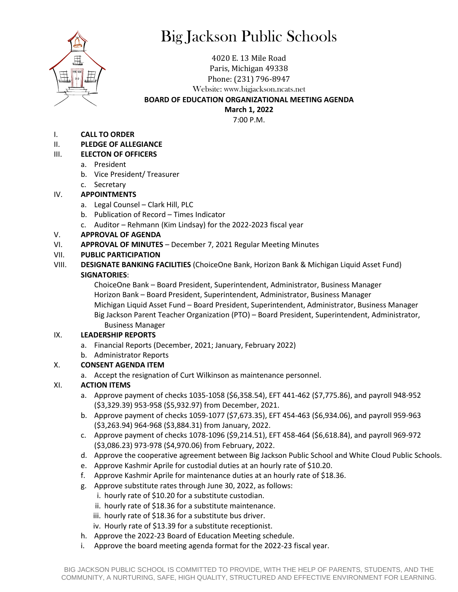

# Big Jackson Public Schools

4020 E. 13 Mile Road Paris, Michigan 49338 Phone: (231) 796-8947 Website: www.bigjackson.ncats.net

# **BOARD OF EDUCATION ORGANIZATIONAL MEETING AGENDA**

**March 1, 2022**

7:00 P.M.

I. **CALL TO ORDER**

### II. **PLEDGE OF ALLEGIANCE**

### III. **ELECTON OF OFFICERS**

- a. President
- b. Vice President/ Treasurer
- c. Secretary

## IV. **APPOINTMENTS**

- a. Legal Counsel Clark Hill, PLC
- b. Publication of Record Times Indicator
- c. Auditor Rehmann (Kim Lindsay) for the 2022-2023 fiscal year

## V. **APPROVAL OF AGENDA**

VI. **APPROVAL OF MINUTES** – December 7, 2021 Regular Meeting Minutes

# VII. **PUBLIC PARTICIPATION**

VIII. **DESIGNATE BANKING FACILITIES** (ChoiceOne Bank, Horizon Bank & Michigan Liquid Asset Fund) **SIGNATORIES**:

ChoiceOne Bank – Board President, Superintendent, Administrator, Business Manager Horizon Bank – Board President, Superintendent, Administrator, Business Manager Michigan Liquid Asset Fund – Board President, Superintendent, Administrator, Business Manager Big Jackson Parent Teacher Organization (PTO) – Board President, Superintendent, Administrator, Business Manager

### IX. **LEADERSHIP REPORTS**

- a. Financial Reports (December, 2021; January, February 2022)
- b. Administrator Reports

# X. **CONSENT AGENDA ITEM**

a. Accept the resignation of Curt Wilkinson as maintenance personnel.

# XI. **ACTION ITEMS**

- a. Approve payment of checks 1035-1058 (\$6,358.54), EFT 441-462 (\$7,775.86), and payroll 948-952 (\$3,329.39) 953-958 (\$5,932.97) from December, 2021.
- b. Approve payment of checks 1059-1077 (\$7,673.35), EFT 454-463 (\$6,934.06), and payroll 959-963 (\$3,263.94) 964-968 (\$3,884.31) from January, 2022.
- c. Approve payment of checks 1078-1096 (\$9,214.51), EFT 458-464 (\$6,618.84), and payroll 969-972 (\$3,086.23) 973-978 (\$4,970.06) from February, 2022.
- d. Approve the cooperative agreement between Big Jackson Public School and White Cloud Public Schools.
- e. Approve Kashmir Aprile for custodial duties at an hourly rate of \$10.20.
- f. Approve Kashmir Aprile for maintenance duties at an hourly rate of \$18.36.
- g. Approve substitute rates through June 30, 2022, as follows:
	- i. hourly rate of \$10.20 for a substitute custodian.
	- ii. hourly rate of \$18.36 for a substitute maintenance.
	- iii. hourly rate of \$18.36 for a substitute bus driver.
	- iv. Hourly rate of \$13.39 for a substitute receptionist.
- h. Approve the 2022-23 Board of Education Meeting schedule.
- i. Approve the board meeting agenda format for the 2022-23 fiscal year.